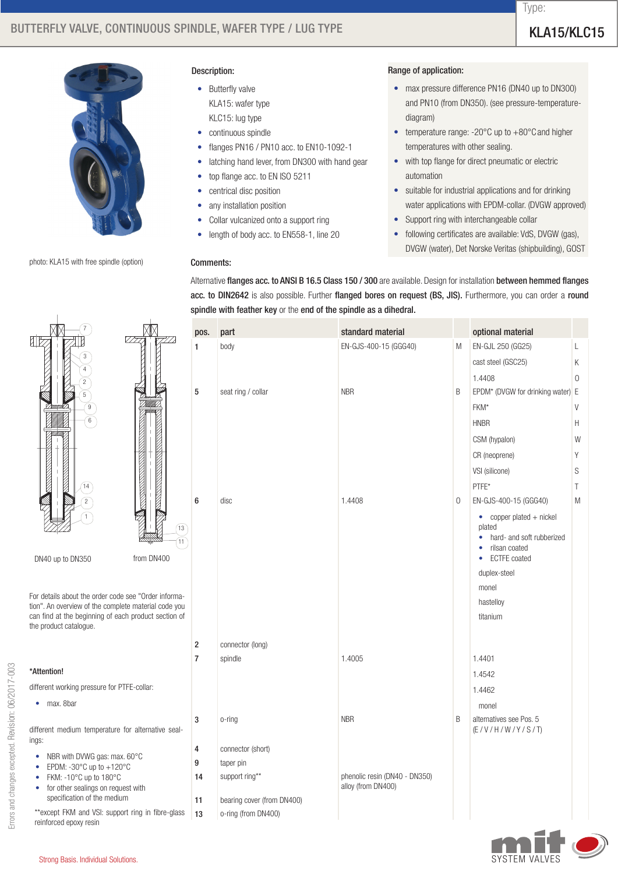# BUTTERFLY VALVE, CONTINUOUS SPINDLE, WAFER TYPE / LUG TYPE / WELL THE MANUSCRIPT OF THE RELATS WELL TO THE RELA



photo: KLA15 with free spindle (option)

#### Description:

- Butterfly valve KLA15: wafer type KLC15: lug type
- continuous spindle
- flanges PN16 / PN10 acc. to EN10-1092-1
- latching hand lever, from DN300 with hand gear
- top flange acc. to EN ISO 5211
- centrical disc position
- any installation position
- • Collar vulcanized onto a support ring
- length of body acc. to EN558-1, line 20

### Comments:

# Range of application:

- max pressure difference PN16 (DN40 up to DN300) and PN10 (from DN350). (see pressure-temperaturediagram)
- temperature range: -20°C up to +80°C and higher temperatures with other sealing.
- with top flange for direct pneumatic or electric automation
- suitable for industrial applications and for drinking water applications with EPDM-collar. (DVGW approved)
- Support ring with interchangeable collar
- following certificates are available: VdS, DVGW (gas), DVGW (water), Det Norske Veritas (shipbuilding), GOST

Alternative flanges acc. to ANSI B 16.5 Class 150 / 300 are available. Design for installation between hemmed flanges acc. to DIN2642 is also possible. Further flanged bores on request (BS, JIS). Furthermore, you can order a round spindle with feather key or the end of the spindle as a dihedral.

|                                | pos.             | part                       | standard material             |             | optional material                                                                                                                        |             |  |  |  |  |  |  |  |
|--------------------------------|------------------|----------------------------|-------------------------------|-------------|------------------------------------------------------------------------------------------------------------------------------------------|-------------|--|--|--|--|--|--|--|
| $\mathbb{Z} \mathbb{Z}$        | 1                | body                       | EN-GJS-400-15 (GGG40)         | M           | EN-GJL 250 (GG25)                                                                                                                        | L           |  |  |  |  |  |  |  |
|                                |                  |                            |                               |             | cast steel (GSC25)                                                                                                                       | Κ           |  |  |  |  |  |  |  |
|                                |                  |                            |                               |             | 1.4408                                                                                                                                   | $\mathbf 0$ |  |  |  |  |  |  |  |
|                                | 5                | seat ring / collar         | <b>NBR</b>                    | B           | EPDM* (DVGW for drinking water) E                                                                                                        |             |  |  |  |  |  |  |  |
|                                |                  |                            |                               |             | FKM*                                                                                                                                     | V           |  |  |  |  |  |  |  |
|                                |                  |                            |                               |             | <b>HNBR</b>                                                                                                                              | Н           |  |  |  |  |  |  |  |
|                                |                  |                            |                               |             | CSM (hypalon)                                                                                                                            | W           |  |  |  |  |  |  |  |
|                                |                  |                            |                               |             | CR (neoprene)                                                                                                                            | Υ           |  |  |  |  |  |  |  |
|                                |                  |                            |                               |             | VSI (silicone)                                                                                                                           | S           |  |  |  |  |  |  |  |
|                                |                  |                            |                               |             | PTFE*                                                                                                                                    | Τ           |  |  |  |  |  |  |  |
|                                | 6                | disc                       | 1.4408                        | $\mathbf 0$ | EN-GJS-400-15 (GGG40)                                                                                                                    | M           |  |  |  |  |  |  |  |
| (13)<br>$\left(11\right)$<br>Ю |                  |                            |                               |             | $\bullet$ copper plated $+$ nickel<br>plated<br>hard- and soft rubberized<br>$\bullet$<br>rilsan coated<br>۰<br><b>ECTFE</b> coated<br>٠ |             |  |  |  |  |  |  |  |
|                                |                  |                            |                               |             | duplex-steel                                                                                                                             |             |  |  |  |  |  |  |  |
| forma-                         |                  |                            |                               |             | monel                                                                                                                                    |             |  |  |  |  |  |  |  |
| de you                         |                  |                            |                               |             | hastelloy                                                                                                                                |             |  |  |  |  |  |  |  |
| ction of                       |                  |                            |                               |             | titanium                                                                                                                                 |             |  |  |  |  |  |  |  |
|                                | $\boldsymbol{2}$ | connector (long)           |                               |             |                                                                                                                                          |             |  |  |  |  |  |  |  |
|                                | $\overline{7}$   | spindle                    | 1.4005                        |             | 1.4401                                                                                                                                   |             |  |  |  |  |  |  |  |
|                                |                  |                            |                               |             | 1.4542                                                                                                                                   |             |  |  |  |  |  |  |  |
|                                |                  |                            |                               |             | 1.4462                                                                                                                                   |             |  |  |  |  |  |  |  |
|                                |                  |                            |                               |             | monel                                                                                                                                    |             |  |  |  |  |  |  |  |
| seal-                          | 3                | o-ring                     | <b>NBR</b>                    | B           | alternatives see Pos. 5<br>(E/VIH/W/ Y/S/T)                                                                                              |             |  |  |  |  |  |  |  |
|                                | 4                | connector (short)          |                               |             |                                                                                                                                          |             |  |  |  |  |  |  |  |
|                                | 9                | taper pin                  |                               |             |                                                                                                                                          |             |  |  |  |  |  |  |  |
|                                | 14               | support ring**             | phenolic resin (DN40 - DN350) |             |                                                                                                                                          |             |  |  |  |  |  |  |  |
|                                | 11               | bearing cover (from DN400) | alloy (from DN400)            |             |                                                                                                                                          |             |  |  |  |  |  |  |  |
| e-glass                        | 13               | o-ring (from DN400)        |                               |             |                                                                                                                                          |             |  |  |  |  |  |  |  |
|                                |                  |                            |                               |             |                                                                                                                                          |             |  |  |  |  |  |  |  |





For details about the order code see "Order inf tion". An overview of the complete material co can find at the beginning of each product sec the product catalogue.

|                                                             | 7  |  |  |  |  |
|-------------------------------------------------------------|----|--|--|--|--|
| *Attention!                                                 |    |  |  |  |  |
| different working pressure for PTFE-collar:                 |    |  |  |  |  |
| max. 8bar                                                   |    |  |  |  |  |
| different medium temperature for alternative seal-<br>ings: |    |  |  |  |  |
| NBR with DVWG gas: max. 60°C                                | 4  |  |  |  |  |
| EPDM: -30 $^{\circ}$ C up to +120 $^{\circ}$ C              | 9  |  |  |  |  |
| FKM: -10 $^{\circ}$ C up to 180 $^{\circ}$ C                | 14 |  |  |  |  |
| for other sealings on request with                          |    |  |  |  |  |
| specification of the medium                                 | 11 |  |  |  |  |
| **except FKM and VSI: support ring in fibre-glass           |    |  |  |  |  |

reinforced epoxy resin



Type: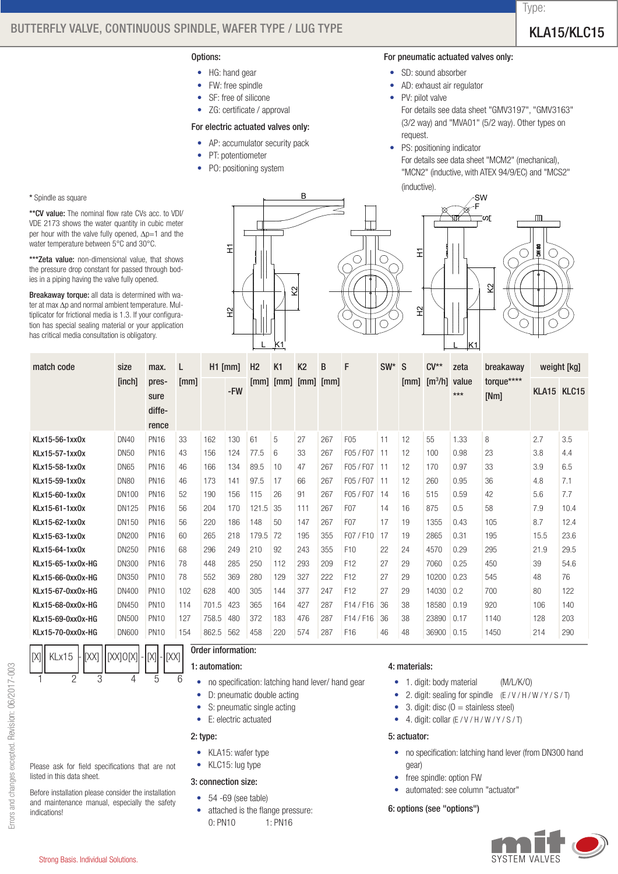# BUTTERFLY VALVE, CONTINUOUS SPINDLE, WAFER TYPE / LUG TYPE / WELL THE MANUSCRIPT OF THE RELATS WELL TO THE RELA

- HG: hand gear
- FW: free spindle
- SF: free of silicone
- ZG: certificate / approval

#### For electric actuated valves only:

• AP: accumulator security pack

B

K2

K1

• PT: potentiometer

H1

H2

• PO: positioning system

#### For pneumatic actuated valves only:

- SD: sound absorber
- • AD: exhaust air regulator
- PV: pilot valve

For details see data sheet "GMV3197", "GMV3163" (3/2 way) and "MVA01" (5/2 way). Other types on request.

• PS: positioning indicator

For details see data sheet "MCM2" (mechanical), "MCN2" (inductive, with ATEX 94/9/EC) and "MCS2" (inductive).

SW F mт cr. H1 K2 H2 <u>L K1</u>, 2008, 2009, 2009, 2009, 2009, 2009, 2009, 2009, 2009, 2009, 2009, 2009, 2009, 2009, 2009, 2009, 2009, 20 L

| match code        | size         | max.                             | L    | $H1$ [mm] |     | H <sub>2</sub> | K1   | <b>K2</b>          | B    | F                | $SW^* S$ |      | $CV**$                 | zeta         | breakaway          |             | weight [kg] |
|-------------------|--------------|----------------------------------|------|-----------|-----|----------------|------|--------------------|------|------------------|----------|------|------------------------|--------------|--------------------|-------------|-------------|
|                   | [inch]       | pres-<br>sure<br>diffe-<br>rence | [mm] |           | -FW | [mm]           | [mm] | $\lceil mm \rceil$ | [mm] |                  |          | [mm] | $\text{[m}^3/\text{h}$ | value<br>*** | torque****<br>[Nm] | KLA15 KLC15 |             |
| KLx15-56-1xx0x    | <b>DN40</b>  | <b>PN16</b>                      | 33   | 162       | 130 | 61             | 5    | 27                 | 267  | F <sub>05</sub>  | 11       | 12   | 55                     | 1.33         | 8                  | 2.7         | 3.5         |
| KLx15-57-1xx0x    | <b>DN50</b>  | <b>PN16</b>                      | 43   | 156       | 124 | 77.5           | 6    | 33                 | 267  | F05 / F07        | 11       | 12   | 100                    | 0.98         | 23                 | 3.8         | 4.4         |
| KLx15-58-1xx0x    | <b>DN65</b>  | <b>PN16</b>                      | 46   | 166       | 134 | 89.5           | 10   | 47                 | 267  | F05 / F07        | 11       | 12   | 170                    | 0.97         | 33                 | 3.9         | 6.5         |
| KLx15-59-1xx0x    | <b>DN80</b>  | <b>PN16</b>                      | 46   | 173       | 141 | 97.5           | 17   | 66                 | 267  | F05/F07          | 11       | 12   | 260                    | 0.95         | 36                 | 4.8         | 7.1         |
| KLx15-60-1xx0x    | <b>DN100</b> | <b>PN16</b>                      | 52   | 190       | 156 | 115            | 26   | 91                 | 267  | F05 / F07        | 14       | 16   | 515                    | 0.59         | 42                 | 5.6         | 7.7         |
| KLx15-61-1xx0x    | <b>DN125</b> | <b>PN16</b>                      | 56   | 204       | 170 | 121.5          | 35   | 111                | 267  | F <sub>0</sub> 7 | 14       | 16   | 875                    | 0.5          | 58                 | 7.9         | 10.4        |
| KLx15-62-1xx0x    | DN150        | <b>PN16</b>                      | 56   | 220       | 186 | 148            | 50   | 147                | 267  | F <sub>0</sub> 7 | 17       | 19   | 1355                   | 0.43         | 105                | 8.7         | 12.4        |
| KLx15-63-1xx0x    | <b>DN200</b> | <b>PN16</b>                      | 60   | 265       | 218 | 179.5          | 72   | 195                | 355  | F07/F10          | 17       | 19   | 2865                   | 0.31         | 195                | 15.5        | 23.6        |
| KLx15-64-1xx0x    | <b>DN250</b> | <b>PN16</b>                      | 68   | 296       | 249 | 210            | 92   | 243                | 355  | F <sub>10</sub>  | 22       | 24   | 4570                   | 0.29         | 295                | 21.9        | 29.5        |
| KLx15-65-1xx0x-HG | DN300        | <b>PN16</b>                      | 78   | 448       | 285 | 250            | 112  | 293                | 209  | F <sub>12</sub>  | 27       | 29   | 7060                   | 0.25         | 450                | 39          | 54.6        |
| KLx15-66-0xx0x-HG | <b>DN350</b> | <b>PN10</b>                      | 78   | 552       | 369 | 280            | 129  | 327                | 222  | F <sub>12</sub>  | 27       | 29   | 10200                  | 0.23         | 545                | 48          | 76          |
| KLx15-67-0xx0x-HG | <b>DN400</b> | <b>PN10</b>                      | 102  | 628       | 400 | 305            | 144  | 377                | 247  | F <sub>12</sub>  | 27       | 29   | 14030                  | 0.2          | 700                | 80          | 122         |
| KLx15-68-0xx0x-HG | <b>DN450</b> | <b>PN10</b>                      | 114  | 701.5     | 423 | 365            | 164  | 427                | 287  | $F14$ / $F16$    | 36       | 38   | 18580                  | 0.19         | 920                | 106         | 140         |
| KLx15-69-0xx0x-HG | <b>DN500</b> | <b>PN10</b>                      | 127  | 758.5     | 480 | 372            | 183  | 476                | 287  | F14/F16          | 36       | 38   | 23890                  | 0.17         | 1140               | 128         | 203         |
| KLx15-70-0xx0x-HG | <b>DN600</b> | <b>PN10</b>                      | 154  | 862.5     | 562 | 458            | 220  | 574                | 287  | F <sub>16</sub>  | 46       | 48   | 36900                  | 0.15         | 1450               | 214         | 290         |

#### \*\*\***Zeta value:** non-dimensional value, that shows the pressure drop constant for passed through bodies in a piping having the valve fully opened.

\* Spindle as square

Breakaway torque: all data is determined with water at max ∆p and normal ambient temperature. Multiplicator for frictional media is 1.3. If your configuration has special sealing material or your application has critical media consultation is obligatory.

\*\*CV value: The nominal flow rate CVs acc. to VDI/ VDE 2173 shows the water quantity in cubic meter per hour with the valve fully opened, ∆p=1 and the water temperature between 5°C and 30°C.

# Please ask for field specifications that are not listed in this data sheet.

KLx15 - LIXXI HIXXIOIXII - IIXII - IIXXI

1 2 3 4 5 6

Before installation please consider the installation and maintenance manual, especially the safety indications!

# Order information:

# 1: automation:

- no specification: latching hand lever/ hand gear
- D: pneumatic double acting
- S: pneumatic single acting
- E: electric actuated

# 2: type:

- KLA15: wafer type
- KLC15: lug type

# 3: connection size:

## $• 54 -69$  (see table)

attached is the flange pressure: 0: PN10 1: PN16

#### 4: materials:

- 1. digit: body material (M/L/K/O)
- 2. digit: sealing for spindle (E / V / H / W / Y / S / T)
- 3. digit: disc  $(0 = \text{stainless steel})$
- 4. digit: collar  $(E/V/H/W/Y/S/T)$

### 5: actuator:

- no specification: latching hand lever (from DN300 hand gear)
- free spindle: option FW
- automated: see column "actuator"

#### 6: options (see "options")



Type: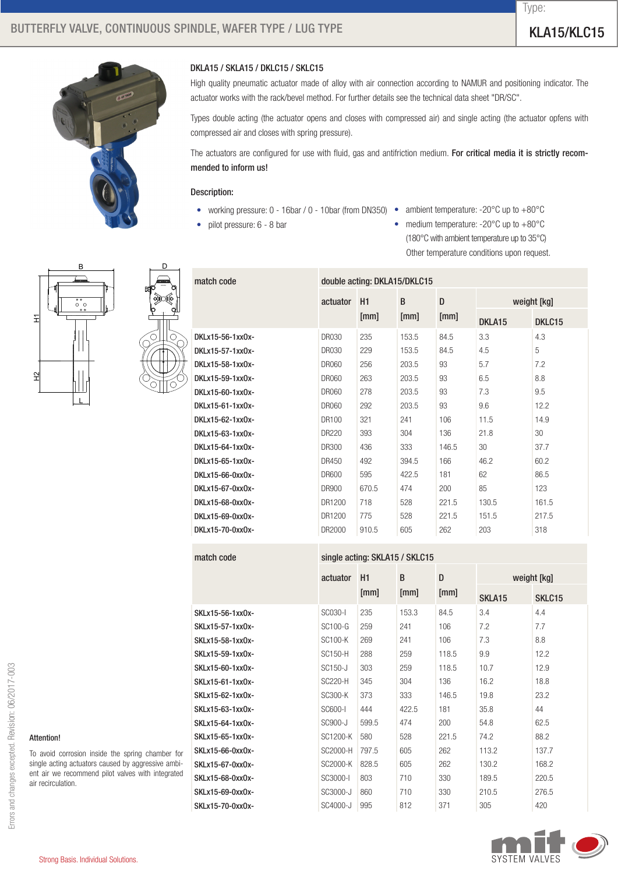# BUTTERFLY VALVE, CONTINUOUS SPINDLE, WAFER TYPE / LUG TYPE / WELL THE MANUSCRIPT OF THE RELATS WELL TO THE RELA

Type:



# DKLA15 / SKLA15 / DKLC15 / SKLC15

High quality pneumatic actuator made of alloy with air connection according to NAMUR and positioning indicator. The actuator works with the rack/bevel method. For further details see the technical data sheet "DR/SC".

Types double acting (the actuator opens and closes with compressed air) and single acting (the actuator opfens with compressed air and closes with spring pressure).

The actuators are configured for use with fluid, gas and antifriction medium. For critical media it is strictly recommended to inform us!

#### Description:

• working pressure: 0 - 16bar / 0 - 10bar (from DN350) •

match code double acting: DKLA15/DKLC15

• pilot pressure: 6 - 8 bar

- ambient temperature: -20 $^{\circ}$ C up to  $+80^{\circ}$ C
- medium temperature: -20 $^{\circ}$ C up to  $+80^{\circ}$ C (180°C with ambient temperature up to 35°C) Other temperature conditions upon request.





|                   | actuator     | H <sub>1</sub> | B     | D     |                    | weight [kg] |
|-------------------|--------------|----------------|-------|-------|--------------------|-------------|
|                   |              | [mm]           | [mm]  | [mm]  | DKLA <sub>15</sub> | DKLC15      |
| DKI x15-56-1xx0x- | <b>DR030</b> | 235            | 153.5 | 84.5  | 3.3                | 4.3         |
| DKLx15-57-1xx0x-  | <b>DR030</b> | 229            | 153.5 | 84.5  | 4.5                | 5           |
| DKI x15-58-1xx0x- | DR060        | 256            | 203.5 | 93    | 5.7                | 7.2         |
| DKI x15-59-1xx0x- | DR060        | 263            | 203.5 | 93    | 6.5                | 8.8         |
| DKLx15-60-1xx0x-  | DR060        | 278            | 203.5 | 93    | 7.3                | 9.5         |
| DKLx15-61-1xx0x-  | <b>DR060</b> | 292            | 203.5 | 93    | 9.6                | 12.2        |
| DKLx15-62-1xx0x-  | DR100        | 321            | 241   | 106   | 11.5               | 14.9        |
| DKLx15-63-1xx0x-  | <b>DR220</b> | 393            | 304   | 136   | 21.8               | 30          |
| DKLx15-64-1xx0x-  | <b>DR300</b> | 436            | 333   | 146.5 | 30                 | 37.7        |
| DKLx15-65-1xx0x-  | DR450        | 492            | 394.5 | 166   | 46.2               | 60.2        |
| DKLx15-66-0xx0x-  | <b>DR600</b> | 595            | 422.5 | 181   | 62                 | 86.5        |
| DKLx15-67-0xx0x-  | <b>DR900</b> | 670.5          | 474   | 200   | 85                 | 123         |
| DKLx15-68-0xx0x-  | DR1200       | 718            | 528   | 221.5 | 130.5              | 161.5       |
| DKLx15-69-0xx0x-  | DR1200       | 775            | 528   | 221.5 | 151.5              | 217.5       |
| DKLx15-70-0xx0x-  | DR2000       | 910.5          | 605   | 262   | 203                | 318         |

# match code single acting: SKLA15 / SKLC15

|                  | $\frac{1}{2}$ , $\frac{1}{2}$ , $\frac{1}{2}$ , $\frac{1}{2}$ , $\frac{1}{2}$ |       |       |       |                    |             |  |  |  |
|------------------|-------------------------------------------------------------------------------|-------|-------|-------|--------------------|-------------|--|--|--|
|                  | actuator                                                                      | H1    | B     | D     |                    | weight [kg] |  |  |  |
|                  |                                                                               | [mm]  | [mm]  | [mm]  | SKLA <sub>15</sub> | SKLC15      |  |  |  |
| SKLx15-56-1xx0x- | SC030-I                                                                       | 235   | 153.3 | 84.5  | 3.4                | 4.4         |  |  |  |
| SKLx15-57-1xx0x- | SC100-G                                                                       | 259   | 241   | 106   | 7.2                | 7.7         |  |  |  |
| SKLx15-58-1xx0x- | <b>SC100-K</b>                                                                | 269   | 241   | 106   | 7.3                | 8.8         |  |  |  |
| SKLx15-59-1xx0x- | <b>SC150-H</b>                                                                | 288   | 259   | 118.5 | 9.9                | 12.2        |  |  |  |
| SKLx15-60-1xx0x- | SC150-J                                                                       | 303   | 259   | 118.5 | 10.7               | 12.9        |  |  |  |
| SKLx15-61-1xx0x- | SC220-H                                                                       | 345   | 304   | 136   | 16.2               | 18.8        |  |  |  |
| SKLx15-62-1xx0x- | SC300-K                                                                       | 373   | 333   | 146.5 | 19.8               | 23.2        |  |  |  |
| SKLx15-63-1xx0x- | SC600-I                                                                       | 444   | 422.5 | 181   | 35.8               | 44          |  |  |  |
| SKLx15-64-1xx0x- | SC900-J                                                                       | 599.5 | 474   | 200   | 54.8               | 62.5        |  |  |  |
| SKLx15-65-1xx0x- | SC1200-K                                                                      | 580   | 528   | 221.5 | 74.2               | 88.2        |  |  |  |
| SKLx15-66-0xx0x- | SC2000-H                                                                      | 797.5 | 605   | 262   | 113.2              | 137.7       |  |  |  |
| SKLx15-67-0xx0x- | SC2000-K                                                                      | 828.5 | 605   | 262   | 130.2              | 168.2       |  |  |  |
| SKLx15-68-0xx0x- | SC3000-I                                                                      | 803   | 710   | 330   | 189.5              | 220.5       |  |  |  |
| SKLx15-69-0xx0x- | SC3000-J                                                                      | 860   | 710   | 330   | 210.5              | 276.5       |  |  |  |
| SKLx15-70-0xx0x- | SC4000-J                                                                      | 995   | 812   | 371   | 305                | 420         |  |  |  |



### Attention!

To avoid corrosion inside the spring chamber for single acting actuators caused by aggressive ambient air we recommend pilot valves with integrated air recirculation.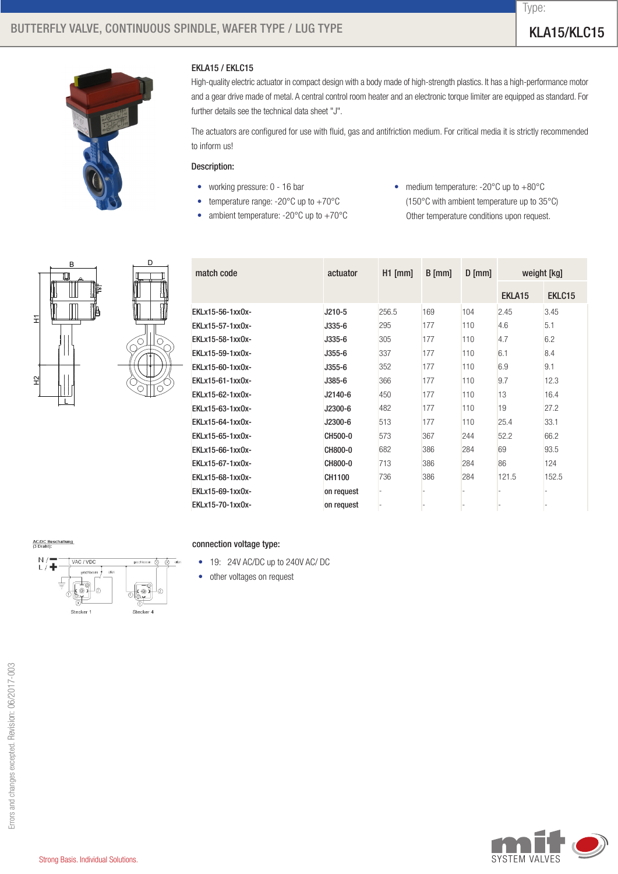Type:



# EKLA15 / EKLC15

High-quality electric actuator in compact design with a body made of high-strength plastics. It has a high-performance motor and a gear drive made of metal. A central control room heater and an electronic torque limiter are equipped as standard. For further details see the technical data sheet "J".

The actuators are configured for use with fluid, gas and antifriction medium. For critical media it is strictly recommended to inform us!

# Description:

- working pressure: 0 16 bar
- temperature range:  $-20^{\circ}$ C up to  $+70^{\circ}$ C
- ambient temperature:  $-20^{\circ}$ C up to  $+70^{\circ}$ C
- medium temperature: -20 $^{\circ}$ C up to  $+80^{\circ}$ C (150°C with ambient temperature up to 35°C) Other temperature conditions upon request.



| match code        | actuator   | $H1$ [mm] | $B$ [mm] | $D$ [mm] | weight [kg] |        |  |
|-------------------|------------|-----------|----------|----------|-------------|--------|--|
|                   |            |           |          |          | EKLA15      | EKLC15 |  |
| EKLx15-56-1xx0x-  | J210-5     | 256.5     | 169      | 104      | 2.45        | 3.45   |  |
| EKLx15-57-1xx0x-  | J335-6     | 295       | 177      | 110      | 4.6         | 5.1    |  |
| EKLx15-58-1xx0x-  | J335-6     | 305       | 177      | 110      | 4.7         | 6.2    |  |
| EKLx15-59-1xx0x-  | J355-6     | 337       | 177      | 110      | 6.1         | 8.4    |  |
| EKLx15-60-1xx0x-  | J355-6     | 352       | 177      | 110      | 6.9         | 9.1    |  |
| EKLx15-61-1xx0x-  | J385-6     | 366       | 177      | 110      | 9.7         | 12.3   |  |
| FKI x15-62-1xx0x- | J2140-6    | 450       | 177      | 110      | 13          | 16.4   |  |
| EKLx15-63-1xx0x-  | J2300-6    | 482       | 177      | 110      | 19          | 27.2   |  |
| EKLx15-64-1xx0x-  | J2300-6    | 513       | 177      | 110      | 25.4        | 33.1   |  |
| EKLx15-65-1xx0x-  | CH500-0    | 573       | 367      | 244      | 52.2        | 66.2   |  |
| EKLx15-66-1xx0x-  | CH800-0    | 682       | 386      | 284      | 69          | 93.5   |  |
| EKLx15-67-1xx0x-  | CH800-0    | 713       | 386      | 284      | 86          | 124    |  |
| EKLx15-68-1xx0x-  | CH1100     | 736       | 386      | 284      | 121.5       | 152.5  |  |
| EKLx15-69-1xx0x-  | on request |           |          |          |             |        |  |
| EKLx15-70-1xx0x-  | on request |           |          |          |             |        |  |



# connection voltage type:

- 19: 24V AC/DC up to 240V AC/DC
- other voltages on request